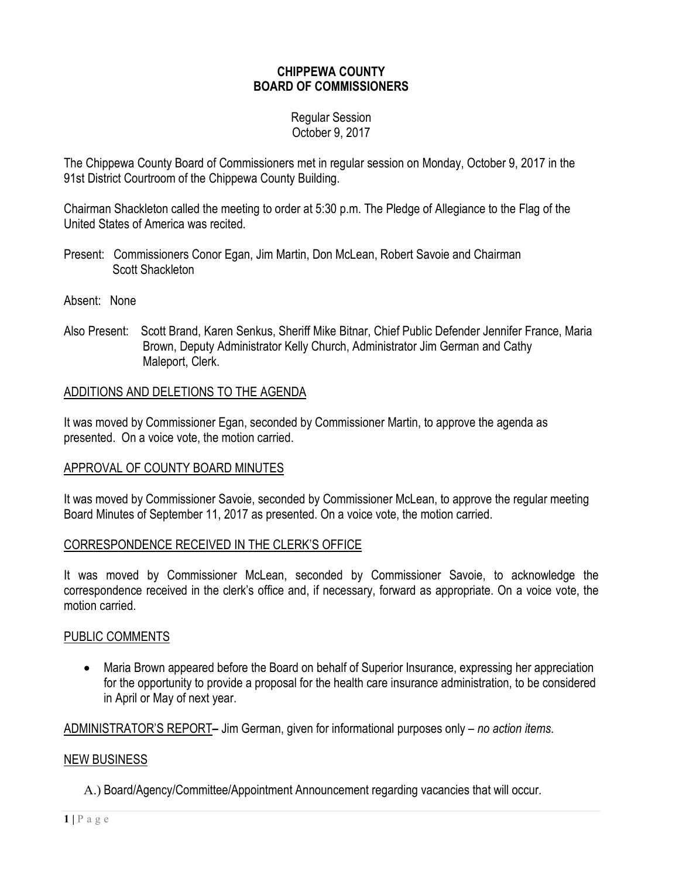## **CHIPPEWA COUNTY BOARD OF COMMISSIONERS**

#### Regular Session October 9, 2017

The Chippewa County Board of Commissioners met in regular session on Monday, October 9, 2017 in the 91st District Courtroom of the Chippewa County Building.

Chairman Shackleton called the meeting to order at 5:30 p.m. The Pledge of Allegiance to the Flag of the United States of America was recited.

- Present: Commissioners Conor Egan, Jim Martin, Don McLean, Robert Savoie and Chairman Scott Shackleton
- Absent: None
- Also Present: Scott Brand, Karen Senkus, Sheriff Mike Bitnar, Chief Public Defender Jennifer France, Maria Brown, Deputy Administrator Kelly Church, Administrator Jim German and Cathy Maleport, Clerk.

## ADDITIONS AND DELETIONS TO THE AGENDA

It was moved by Commissioner Egan, seconded by Commissioner Martin, to approve the agenda as presented. On a voice vote, the motion carried.

#### APPROVAL OF COUNTY BOARD MINUTES

It was moved by Commissioner Savoie, seconded by Commissioner McLean, to approve the regular meeting Board Minutes of September 11, 2017 as presented. On a voice vote, the motion carried.

#### CORRESPONDENCE RECEIVED IN THE CLERK'S OFFICE

It was moved by Commissioner McLean, seconded by Commissioner Savoie, to acknowledge the correspondence received in the clerk's office and, if necessary, forward as appropriate. On a voice vote, the motion carried.

#### PUBLIC COMMENTS

• Maria Brown appeared before the Board on behalf of Superior Insurance, expressing her appreciation for the opportunity to provide a proposal for the health care insurance administration, to be considered in April or May of next year.

ADMINISTRATOR'S REPORT**–** Jim German, given for informational purposes only – *no action items*.

#### NEW BUSINESS

A.) Board/Agency/Committee/Appointment Announcement regarding vacancies that will occur.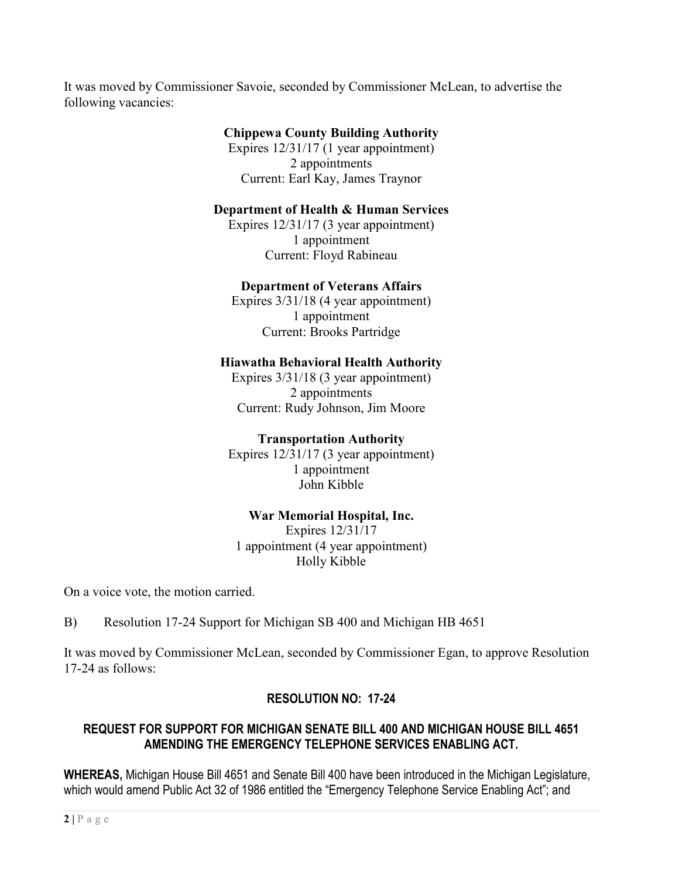It was moved by Commissioner Savoie, seconded by Commissioner McLean, to advertise the following vacancies:

# **Chippewa County Building Authority**

Expires 12/31/17 (1 year appointment) 2 appointments Current: Earl Kay, James Traynor

## **Department of Health & Human Services**

Expires 12/31/17 (3 year appointment) 1 appointment Current: Floyd Rabineau

## **Department of Veterans Affairs**

Expires 3/31/18 (4 year appointment) 1 appointment Current: Brooks Partridge

# **Hiawatha Behavioral Health Authority**

Expires 3/31/18 (3 year appointment) 2 appointments Current: Rudy Johnson, Jim Moore

## **Transportation Authority**

Expires 12/31/17 (3 year appointment) 1 appointment John Kibble

## **War Memorial Hospital, Inc.**

Expires 12/31/17 1 appointment (4 year appointment) Holly Kibble

On a voice vote, the motion carried.

B) Resolution 17-24 Support for Michigan SB 400 and Michigan HB 4651

It was moved by Commissioner McLean, seconded by Commissioner Egan, to approve Resolution 17-24 as follows:

# **RESOLUTION NO: 17-24**

## **REQUEST FOR SUPPORT FOR MICHIGAN SENATE BILL 400 AND MICHIGAN HOUSE BILL 4651 AMENDING THE EMERGENCY TELEPHONE SERVICES ENABLING ACT.**

**WHEREAS,** Michigan House Bill 4651 and Senate Bill 400 have been introduced in the Michigan Legislature, which would amend Public Act 32 of 1986 entitled the "Emergency Telephone Service Enabling Act"; and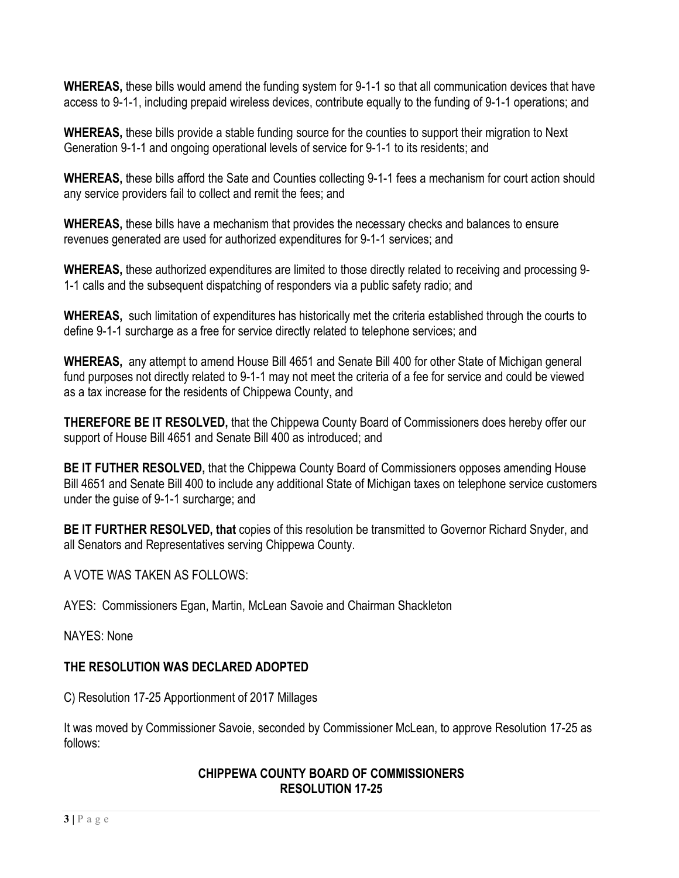**WHEREAS,** these bills would amend the funding system for 9-1-1 so that all communication devices that have access to 9-1-1, including prepaid wireless devices, contribute equally to the funding of 9-1-1 operations; and

**WHEREAS,** these bills provide a stable funding source for the counties to support their migration to Next Generation 9-1-1 and ongoing operational levels of service for 9-1-1 to its residents; and

**WHEREAS,** these bills afford the Sate and Counties collecting 9-1-1 fees a mechanism for court action should any service providers fail to collect and remit the fees; and

**WHEREAS,** these bills have a mechanism that provides the necessary checks and balances to ensure revenues generated are used for authorized expenditures for 9-1-1 services; and

**WHEREAS,** these authorized expenditures are limited to those directly related to receiving and processing 9- 1-1 calls and the subsequent dispatching of responders via a public safety radio; and

**WHEREAS,** such limitation of expenditures has historically met the criteria established through the courts to define 9-1-1 surcharge as a free for service directly related to telephone services; and

**WHEREAS,** any attempt to amend House Bill 4651 and Senate Bill 400 for other State of Michigan general fund purposes not directly related to 9-1-1 may not meet the criteria of a fee for service and could be viewed as a tax increase for the residents of Chippewa County, and

**THEREFORE BE IT RESOLVED,** that the Chippewa County Board of Commissioners does hereby offer our support of House Bill 4651 and Senate Bill 400 as introduced; and

**BE IT FUTHER RESOLVED,** that the Chippewa County Board of Commissioners opposes amending House Bill 4651 and Senate Bill 400 to include any additional State of Michigan taxes on telephone service customers under the guise of 9-1-1 surcharge; and

**BE IT FURTHER RESOLVED, that** copies of this resolution be transmitted to Governor Richard Snyder, and all Senators and Representatives serving Chippewa County.

A VOTE WAS TAKEN AS FOLLOWS:

AYES: Commissioners Egan, Martin, McLean Savoie and Chairman Shackleton

NAYES: None

# **THE RESOLUTION WAS DECLARED ADOPTED**

C) Resolution 17-25 Apportionment of 2017 Millages

It was moved by Commissioner Savoie, seconded by Commissioner McLean, to approve Resolution 17-25 as follows:

# **CHIPPEWA COUNTY BOARD OF COMMISSIONERS RESOLUTION 17-25**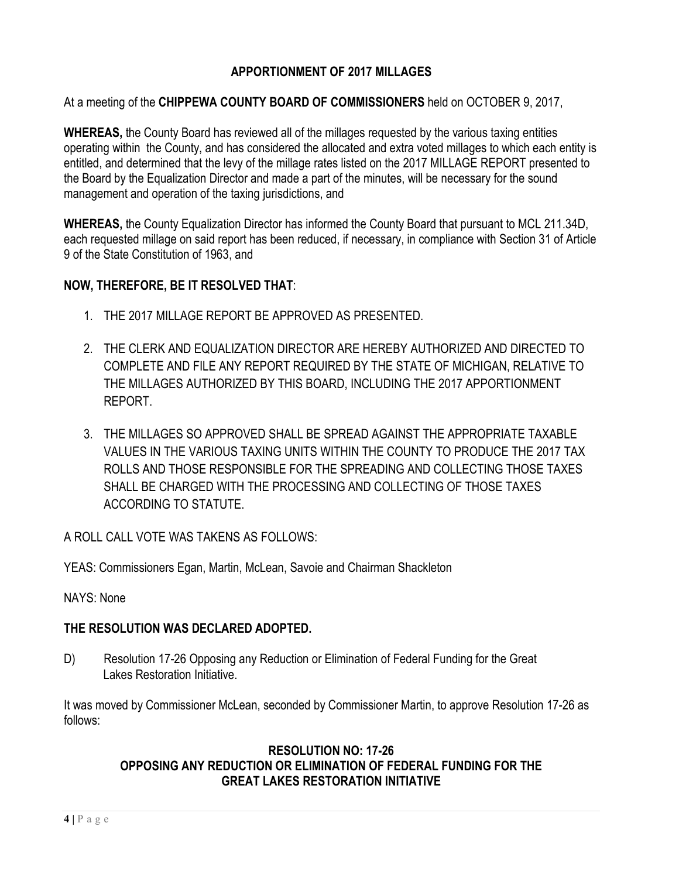# **APPORTIONMENT OF 2017 MILLAGES**

#### At a meeting of the **CHIPPEWA COUNTY BOARD OF COMMISSIONERS** held on OCTOBER 9, 2017,

**WHEREAS,** the County Board has reviewed all of the millages requested by the various taxing entities operating within the County, and has considered the allocated and extra voted millages to which each entity is entitled, and determined that the levy of the millage rates listed on the 2017 MILLAGE REPORT presented to the Board by the Equalization Director and made a part of the minutes, will be necessary for the sound management and operation of the taxing jurisdictions, and

**WHEREAS,** the County Equalization Director has informed the County Board that pursuant to MCL 211.34D, each requested millage on said report has been reduced, if necessary, in compliance with Section 31 of Article 9 of the State Constitution of 1963, and

#### **NOW, THEREFORE, BE IT RESOLVED THAT**:

- 1. THE 2017 MILLAGE REPORT BE APPROVED AS PRESENTED.
- 2. THE CLERK AND EQUALIZATION DIRECTOR ARE HEREBY AUTHORIZED AND DIRECTED TO COMPLETE AND FILE ANY REPORT REQUIRED BY THE STATE OF MICHIGAN, RELATIVE TO THE MILLAGES AUTHORIZED BY THIS BOARD, INCLUDING THE 2017 APPORTIONMENT REPORT.
- 3. THE MILLAGES SO APPROVED SHALL BE SPREAD AGAINST THE APPROPRIATE TAXABLE VALUES IN THE VARIOUS TAXING UNITS WITHIN THE COUNTY TO PRODUCE THE 2017 TAX ROLLS AND THOSE RESPONSIBLE FOR THE SPREADING AND COLLECTING THOSE TAXES SHALL BE CHARGED WITH THE PROCESSING AND COLLECTING OF THOSE TAXES ACCORDING TO STATUTE.

A ROLL CALL VOTE WAS TAKENS AS FOLLOWS:

YEAS: Commissioners Egan, Martin, McLean, Savoie and Chairman Shackleton

#### NAYS: None

#### **THE RESOLUTION WAS DECLARED ADOPTED.**

D) Resolution 17-26 Opposing any Reduction or Elimination of Federal Funding for the Great Lakes Restoration Initiative.

It was moved by Commissioner McLean, seconded by Commissioner Martin, to approve Resolution 17-26 as follows:

## **RESOLUTION NO: 17-26 OPPOSING ANY REDUCTION OR ELIMINATION OF FEDERAL FUNDING FOR THE GREAT LAKES RESTORATION INITIATIVE**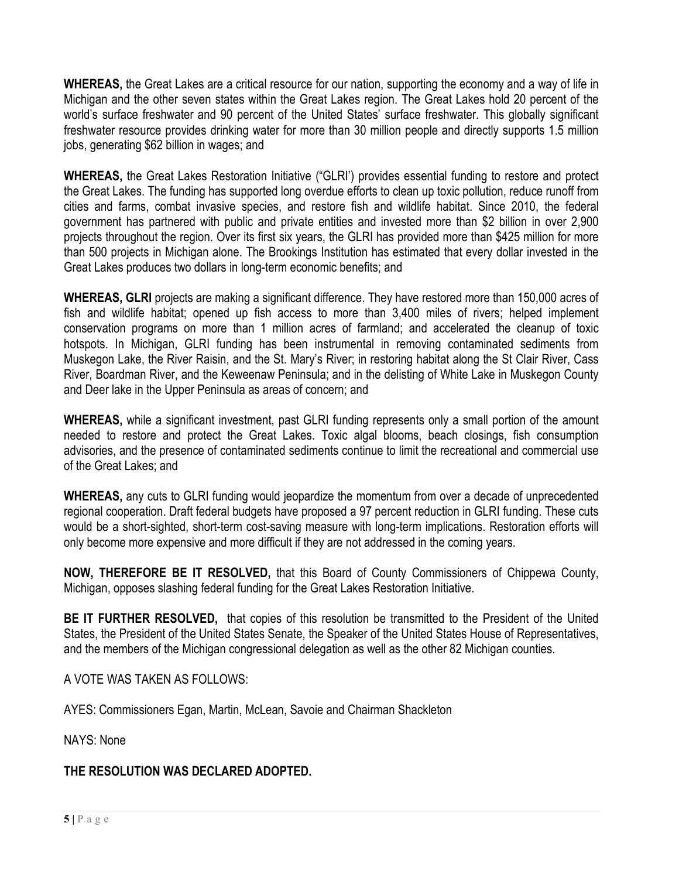**WHEREAS,** the Great Lakes are a critical resource for our nation, supporting the economy and a way of life in Michigan and the other seven states within the Great Lakes region. The Great Lakes hold 20 percent of the world's surface freshwater and 90 percent of the United States' surface freshwater. This globally significant freshwater resource provides drinking water for more than 30 million people and directly supports 1.5 million jobs, generating \$62 billion in wages; and

**WHEREAS,** the Great Lakes Restoration Initiative ("GLRI') provides essential funding to restore and protect the Great Lakes. The funding has supported long overdue efforts to clean up toxic pollution, reduce runoff from cities and farms, combat invasive species, and restore fish and wildlife habitat. Since 2010, the federal government has partnered with public and private entities and invested more than \$2 billion in over 2,900 projects throughout the region. Over its first six years, the GLRI has provided more than \$425 million for more than 500 projects in Michigan alone. The Brookings Institution has estimated that every dollar invested in the Great Lakes produces two dollars in long-term economic benefits; and

**WHEREAS, GLRI** projects are making a significant difference. They have restored more than 150,000 acres of fish and wildlife habitat; opened up fish access to more than 3,400 miles of rivers; helped implement conservation programs on more than 1 million acres of farmland; and accelerated the cleanup of toxic hotspots. In Michigan, GLRI funding has been instrumental in removing contaminated sediments from Muskegon Lake, the River Raisin, and the St. Mary's River; in restoring habitat along the St Clair River, Cass River, Boardman River, and the Keweenaw Peninsula; and in the delisting of White Lake in Muskegon County and Deer lake in the Upper Peninsula as areas of concern; and

**WHEREAS,** while a significant investment, past GLRI funding represents only a small portion of the amount needed to restore and protect the Great Lakes. Toxic algal blooms, beach closings, fish consumption advisories, and the presence of contaminated sediments continue to limit the recreational and commercial use of the Great Lakes; and

**WHEREAS,** any cuts to GLRI funding would jeopardize the momentum from over a decade of unprecedented regional cooperation. Draft federal budgets have proposed a 97 percent reduction in GLRI funding. These cuts would be a short-sighted, short-term cost-saving measure with long-term implications. Restoration efforts will only become more expensive and more difficult if they are not addressed in the coming years.

**NOW, THEREFORE BE IT RESOLVED,** that this Board of County Commissioners of Chippewa County, Michigan, opposes slashing federal funding for the Great Lakes Restoration Initiative.

**BE IT FURTHER RESOLVED,** that copies of this resolution be transmitted to the President of the United States, the President of the United States Senate, the Speaker of the United States House of Representatives, and the members of the Michigan congressional delegation as well as the other 82 Michigan counties.

A VOTE WAS TAKEN AS FOLLOWS:

AYES: Commissioners Egan, Martin, McLean, Savoie and Chairman Shackleton

NAYS: None

**THE RESOLUTION WAS DECLARED ADOPTED.**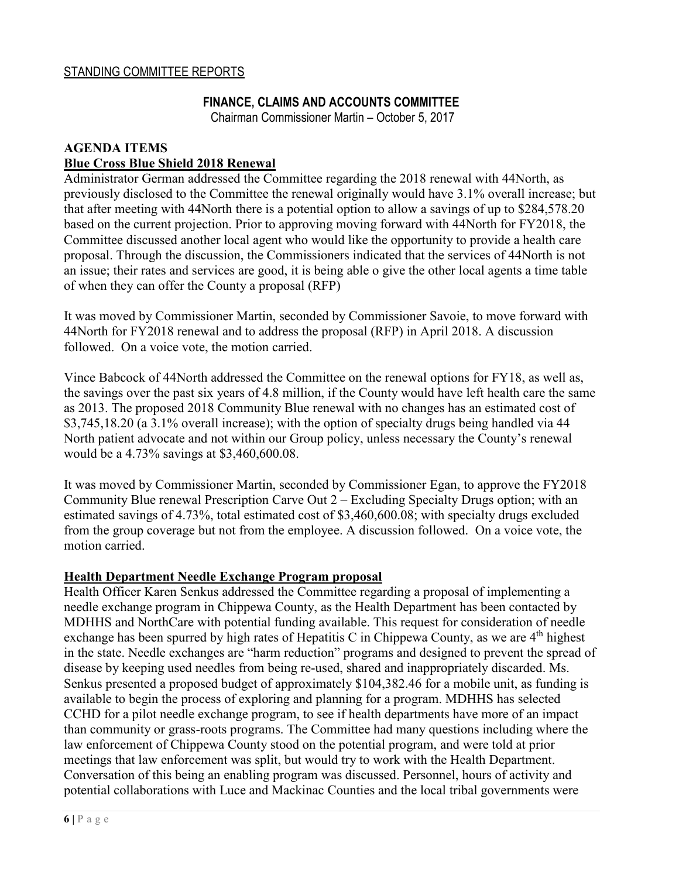#### **FINANCE, CLAIMS AND ACCOUNTS COMMITTEE**

Chairman Commissioner Martin – October 5, 2017

#### **AGENDA ITEMS Blue Cross Blue Shield 2018 Renewal**

Administrator German addressed the Committee regarding the 2018 renewal with 44North, as previously disclosed to the Committee the renewal originally would have 3.1% overall increase; but that after meeting with 44North there is a potential option to allow a savings of up to \$284,578.20 based on the current projection. Prior to approving moving forward with 44North for FY2018, the Committee discussed another local agent who would like the opportunity to provide a health care proposal. Through the discussion, the Commissioners indicated that the services of 44North is not an issue; their rates and services are good, it is being able o give the other local agents a time table of when they can offer the County a proposal (RFP)

It was moved by Commissioner Martin, seconded by Commissioner Savoie, to move forward with 44North for FY2018 renewal and to address the proposal (RFP) in April 2018. A discussion followed. On a voice vote, the motion carried.

Vince Babcock of 44North addressed the Committee on the renewal options for FY18, as well as, the savings over the past six years of 4.8 million, if the County would have left health care the same as 2013. The proposed 2018 Community Blue renewal with no changes has an estimated cost of \$3,745,18.20 (a 3.1% overall increase); with the option of specialty drugs being handled via 44 North patient advocate and not within our Group policy, unless necessary the County's renewal would be a 4.73% savings at \$3,460,600.08.

It was moved by Commissioner Martin, seconded by Commissioner Egan, to approve the FY2018 Community Blue renewal Prescription Carve Out 2 – Excluding Specialty Drugs option; with an estimated savings of 4.73%, total estimated cost of \$3,460,600.08; with specialty drugs excluded from the group coverage but not from the employee. A discussion followed. On a voice vote, the motion carried.

#### **Health Department Needle Exchange Program proposal**

Health Officer Karen Senkus addressed the Committee regarding a proposal of implementing a needle exchange program in Chippewa County, as the Health Department has been contacted by MDHHS and NorthCare with potential funding available. This request for consideration of needle exchange has been spurred by high rates of Hepatitis C in Chippewa County, as we are 4<sup>th</sup> highest in the state. Needle exchanges are "harm reduction" programs and designed to prevent the spread of disease by keeping used needles from being re-used, shared and inappropriately discarded. Ms. Senkus presented a proposed budget of approximately \$104,382.46 for a mobile unit, as funding is available to begin the process of exploring and planning for a program. MDHHS has selected CCHD for a pilot needle exchange program, to see if health departments have more of an impact than community or grass-roots programs. The Committee had many questions including where the law enforcement of Chippewa County stood on the potential program, and were told at prior meetings that law enforcement was split, but would try to work with the Health Department. Conversation of this being an enabling program was discussed. Personnel, hours of activity and potential collaborations with Luce and Mackinac Counties and the local tribal governments were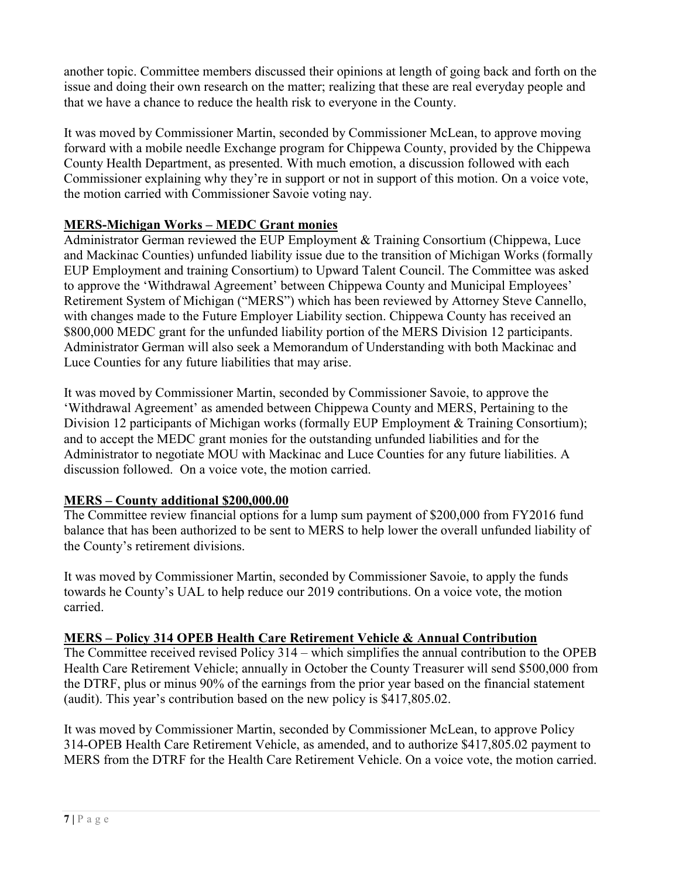another topic. Committee members discussed their opinions at length of going back and forth on the issue and doing their own research on the matter; realizing that these are real everyday people and that we have a chance to reduce the health risk to everyone in the County.

It was moved by Commissioner Martin, seconded by Commissioner McLean, to approve moving forward with a mobile needle Exchange program for Chippewa County, provided by the Chippewa County Health Department, as presented. With much emotion, a discussion followed with each Commissioner explaining why they're in support or not in support of this motion. On a voice vote, the motion carried with Commissioner Savoie voting nay.

# **MERS-Michigan Works – MEDC Grant monies**

Administrator German reviewed the EUP Employment & Training Consortium (Chippewa, Luce and Mackinac Counties) unfunded liability issue due to the transition of Michigan Works (formally EUP Employment and training Consortium) to Upward Talent Council. The Committee was asked to approve the 'Withdrawal Agreement' between Chippewa County and Municipal Employees' Retirement System of Michigan ("MERS") which has been reviewed by Attorney Steve Cannello, with changes made to the Future Employer Liability section. Chippewa County has received an \$800,000 MEDC grant for the unfunded liability portion of the MERS Division 12 participants. Administrator German will also seek a Memorandum of Understanding with both Mackinac and Luce Counties for any future liabilities that may arise.

It was moved by Commissioner Martin, seconded by Commissioner Savoie, to approve the 'Withdrawal Agreement' as amended between Chippewa County and MERS, Pertaining to the Division 12 participants of Michigan works (formally EUP Employment & Training Consortium); and to accept the MEDC grant monies for the outstanding unfunded liabilities and for the Administrator to negotiate MOU with Mackinac and Luce Counties for any future liabilities. A discussion followed. On a voice vote, the motion carried.

# **MERS – County additional \$200,000.00**

The Committee review financial options for a lump sum payment of \$200,000 from FY2016 fund balance that has been authorized to be sent to MERS to help lower the overall unfunded liability of the County's retirement divisions.

It was moved by Commissioner Martin, seconded by Commissioner Savoie, to apply the funds towards he County's UAL to help reduce our 2019 contributions. On a voice vote, the motion carried.

# **MERS – Policy 314 OPEB Health Care Retirement Vehicle & Annual Contribution**

The Committee received revised Policy 314 – which simplifies the annual contribution to the OPEB Health Care Retirement Vehicle; annually in October the County Treasurer will send \$500,000 from the DTRF, plus or minus 90% of the earnings from the prior year based on the financial statement (audit). This year's contribution based on the new policy is \$417,805.02.

It was moved by Commissioner Martin, seconded by Commissioner McLean, to approve Policy 314-OPEB Health Care Retirement Vehicle, as amended, and to authorize \$417,805.02 payment to MERS from the DTRF for the Health Care Retirement Vehicle. On a voice vote, the motion carried.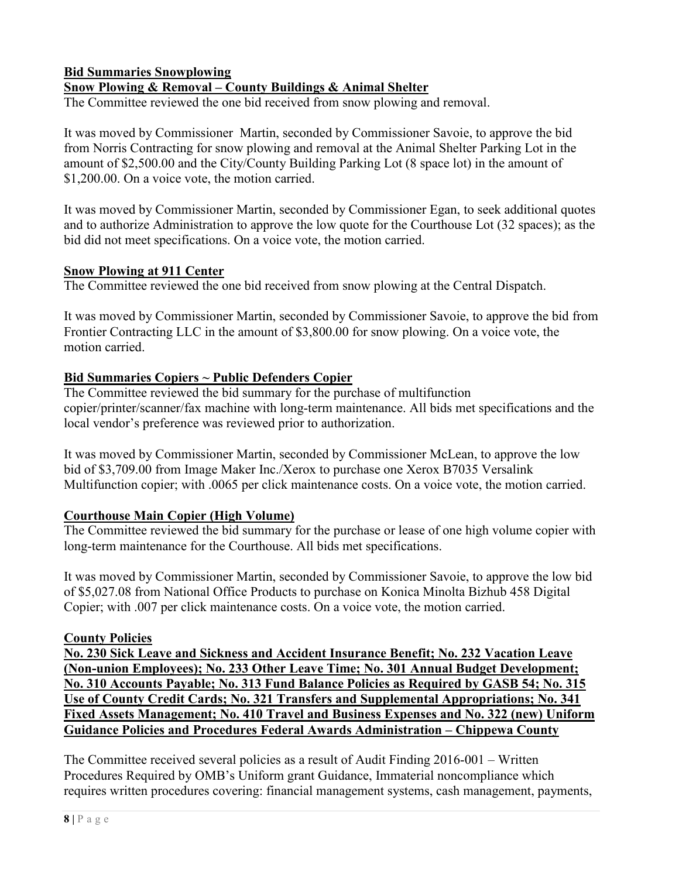# **Bid Summaries Snowplowing Snow Plowing & Removal – County Buildings & Animal Shelter**

The Committee reviewed the one bid received from snow plowing and removal.

It was moved by Commissioner Martin, seconded by Commissioner Savoie, to approve the bid from Norris Contracting for snow plowing and removal at the Animal Shelter Parking Lot in the amount of \$2,500.00 and the City/County Building Parking Lot (8 space lot) in the amount of \$1,200.00. On a voice vote, the motion carried.

It was moved by Commissioner Martin, seconded by Commissioner Egan, to seek additional quotes and to authorize Administration to approve the low quote for the Courthouse Lot (32 spaces); as the bid did not meet specifications. On a voice vote, the motion carried.

#### **Snow Plowing at 911 Center**

The Committee reviewed the one bid received from snow plowing at the Central Dispatch.

It was moved by Commissioner Martin, seconded by Commissioner Savoie, to approve the bid from Frontier Contracting LLC in the amount of \$3,800.00 for snow plowing. On a voice vote, the motion carried.

## **Bid Summaries Copiers ~ Public Defenders Copier**

The Committee reviewed the bid summary for the purchase of multifunction copier/printer/scanner/fax machine with long-term maintenance. All bids met specifications and the local vendor's preference was reviewed prior to authorization.

It was moved by Commissioner Martin, seconded by Commissioner McLean, to approve the low bid of \$3,709.00 from Image Maker Inc./Xerox to purchase one Xerox B7035 Versalink Multifunction copier; with .0065 per click maintenance costs. On a voice vote, the motion carried.

## **Courthouse Main Copier (High Volume)**

The Committee reviewed the bid summary for the purchase or lease of one high volume copier with long-term maintenance for the Courthouse. All bids met specifications.

It was moved by Commissioner Martin, seconded by Commissioner Savoie, to approve the low bid of \$5,027.08 from National Office Products to purchase on Konica Minolta Bizhub 458 Digital Copier; with .007 per click maintenance costs. On a voice vote, the motion carried.

#### **County Policies**

**No. 230 Sick Leave and Sickness and Accident Insurance Benefit; No. 232 Vacation Leave (Non-union Employees); No. 233 Other Leave Time; No. 301 Annual Budget Development; No. 310 Accounts Payable; No. 313 Fund Balance Policies as Required by GASB 54; No. 315 Use of County Credit Cards; No. 321 Transfers and Supplemental Appropriations; No. 341 Fixed Assets Management; No. 410 Travel and Business Expenses and No. 322 (new) Uniform Guidance Policies and Procedures Federal Awards Administration – Chippewa County** 

The Committee received several policies as a result of Audit Finding 2016-001 – Written Procedures Required by OMB's Uniform grant Guidance, Immaterial noncompliance which requires written procedures covering: financial management systems, cash management, payments,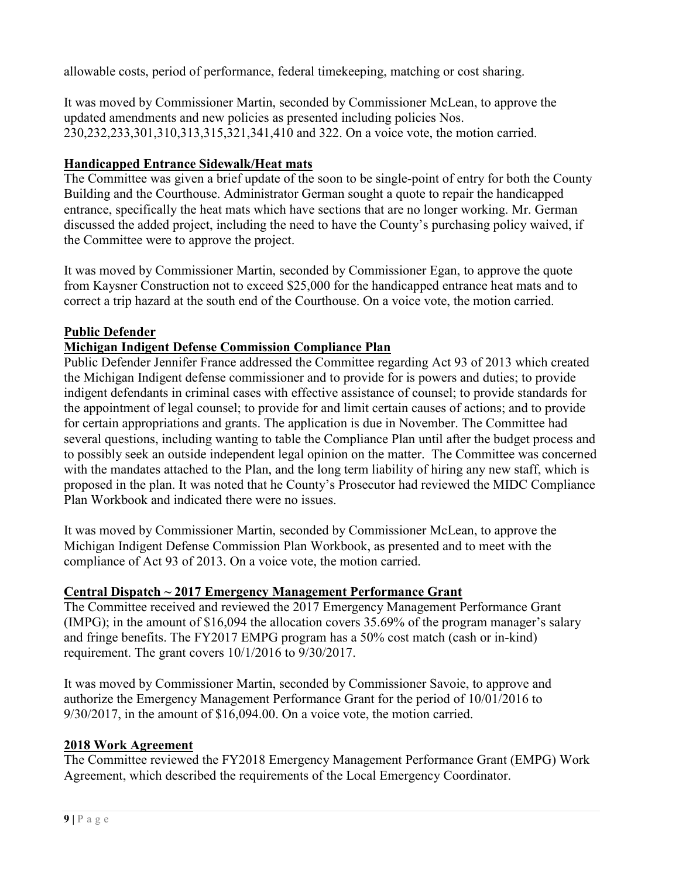allowable costs, period of performance, federal timekeeping, matching or cost sharing.

It was moved by Commissioner Martin, seconded by Commissioner McLean, to approve the updated amendments and new policies as presented including policies Nos. 230,232,233,301,310,313,315,321,341,410 and 322. On a voice vote, the motion carried.

# **Handicapped Entrance Sidewalk/Heat mats**

The Committee was given a brief update of the soon to be single-point of entry for both the County Building and the Courthouse. Administrator German sought a quote to repair the handicapped entrance, specifically the heat mats which have sections that are no longer working. Mr. German discussed the added project, including the need to have the County's purchasing policy waived, if the Committee were to approve the project.

It was moved by Commissioner Martin, seconded by Commissioner Egan, to approve the quote from Kaysner Construction not to exceed \$25,000 for the handicapped entrance heat mats and to correct a trip hazard at the south end of the Courthouse. On a voice vote, the motion carried.

# **Public Defender**

# **Michigan Indigent Defense Commission Compliance Plan**

Public Defender Jennifer France addressed the Committee regarding Act 93 of 2013 which created the Michigan Indigent defense commissioner and to provide for is powers and duties; to provide indigent defendants in criminal cases with effective assistance of counsel; to provide standards for the appointment of legal counsel; to provide for and limit certain causes of actions; and to provide for certain appropriations and grants. The application is due in November. The Committee had several questions, including wanting to table the Compliance Plan until after the budget process and to possibly seek an outside independent legal opinion on the matter. The Committee was concerned with the mandates attached to the Plan, and the long term liability of hiring any new staff, which is proposed in the plan. It was noted that he County's Prosecutor had reviewed the MIDC Compliance Plan Workbook and indicated there were no issues.

It was moved by Commissioner Martin, seconded by Commissioner McLean, to approve the Michigan Indigent Defense Commission Plan Workbook, as presented and to meet with the compliance of Act 93 of 2013. On a voice vote, the motion carried.

## **Central Dispatch ~ 2017 Emergency Management Performance Grant**

The Committee received and reviewed the 2017 Emergency Management Performance Grant (IMPG); in the amount of \$16,094 the allocation covers 35.69% of the program manager's salary and fringe benefits. The FY2017 EMPG program has a 50% cost match (cash or in-kind) requirement. The grant covers 10/1/2016 to 9/30/2017.

It was moved by Commissioner Martin, seconded by Commissioner Savoie, to approve and authorize the Emergency Management Performance Grant for the period of 10/01/2016 to 9/30/2017, in the amount of \$16,094.00. On a voice vote, the motion carried.

## **2018 Work Agreement**

The Committee reviewed the FY2018 Emergency Management Performance Grant (EMPG) Work Agreement, which described the requirements of the Local Emergency Coordinator.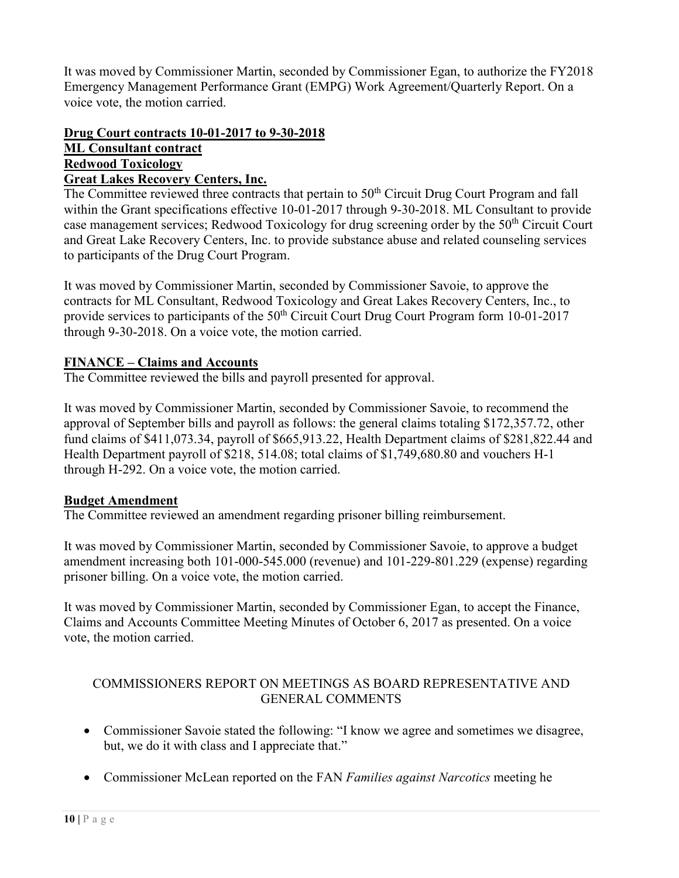It was moved by Commissioner Martin, seconded by Commissioner Egan, to authorize the FY2018 Emergency Management Performance Grant (EMPG) Work Agreement/Quarterly Report. On a voice vote, the motion carried.

#### **Drug Court contracts 10-01-2017 to 9-30-2018 ML Consultant contract Redwood Toxicology Great Lakes Recovery Centers, Inc.**

The Committee reviewed three contracts that pertain to 50<sup>th</sup> Circuit Drug Court Program and fall within the Grant specifications effective 10-01-2017 through 9-30-2018. ML Consultant to provide case management services; Redwood Toxicology for drug screening order by the 50<sup>th</sup> Circuit Court and Great Lake Recovery Centers, Inc. to provide substance abuse and related counseling services to participants of the Drug Court Program.

It was moved by Commissioner Martin, seconded by Commissioner Savoie, to approve the contracts for ML Consultant, Redwood Toxicology and Great Lakes Recovery Centers, Inc., to provide services to participants of the  $50<sup>th</sup>$  Circuit Court Drug Court Program form 10-01-2017 through 9-30-2018. On a voice vote, the motion carried.

# **FINANCE – Claims and Accounts**

The Committee reviewed the bills and payroll presented for approval.

It was moved by Commissioner Martin, seconded by Commissioner Savoie, to recommend the approval of September bills and payroll as follows: the general claims totaling \$172,357.72, other fund claims of \$411,073.34, payroll of \$665,913.22, Health Department claims of \$281,822.44 and Health Department payroll of \$218, 514.08; total claims of \$1,749,680.80 and vouchers H-1 through H-292. On a voice vote, the motion carried.

## **Budget Amendment**

The Committee reviewed an amendment regarding prisoner billing reimbursement.

It was moved by Commissioner Martin, seconded by Commissioner Savoie, to approve a budget amendment increasing both 101-000-545.000 (revenue) and 101-229-801.229 (expense) regarding prisoner billing. On a voice vote, the motion carried.

It was moved by Commissioner Martin, seconded by Commissioner Egan, to accept the Finance, Claims and Accounts Committee Meeting Minutes of October 6, 2017 as presented. On a voice vote, the motion carried.

# COMMISSIONERS REPORT ON MEETINGS AS BOARD REPRESENTATIVE AND GENERAL COMMENTS

- Commissioner Savoie stated the following: "I know we agree and sometimes we disagree, but, we do it with class and I appreciate that."
- Commissioner McLean reported on the FAN *Families against Narcotics* meeting he